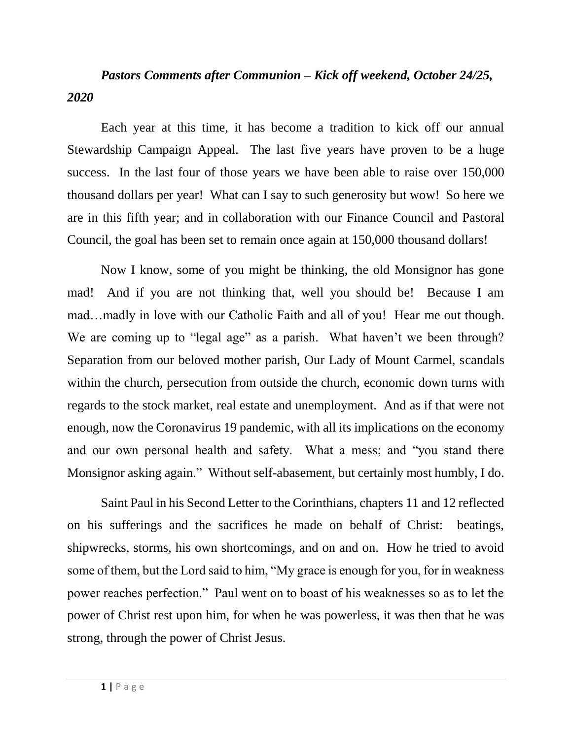## *Pastors Comments after Communion – Kick off weekend, October 24/25, 2020*

Each year at this time, it has become a tradition to kick off our annual Stewardship Campaign Appeal. The last five years have proven to be a huge success. In the last four of those years we have been able to raise over 150,000 thousand dollars per year! What can I say to such generosity but wow! So here we are in this fifth year; and in collaboration with our Finance Council and Pastoral Council, the goal has been set to remain once again at 150,000 thousand dollars!

Now I know, some of you might be thinking, the old Monsignor has gone mad! And if you are not thinking that, well you should be! Because I am mad…madly in love with our Catholic Faith and all of you! Hear me out though. We are coming up to "legal age" as a parish. What haven't we been through? Separation from our beloved mother parish, Our Lady of Mount Carmel, scandals within the church, persecution from outside the church, economic down turns with regards to the stock market, real estate and unemployment. And as if that were not enough, now the Coronavirus 19 pandemic, with all its implications on the economy and our own personal health and safety. What a mess; and "you stand there Monsignor asking again." Without self-abasement, but certainly most humbly, I do.

Saint Paul in his Second Letter to the Corinthians, chapters 11 and 12 reflected on his sufferings and the sacrifices he made on behalf of Christ: beatings, shipwrecks, storms, his own shortcomings, and on and on. How he tried to avoid some of them, but the Lord said to him, "My grace is enough for you, for in weakness power reaches perfection." Paul went on to boast of his weaknesses so as to let the power of Christ rest upon him, for when he was powerless, it was then that he was strong, through the power of Christ Jesus.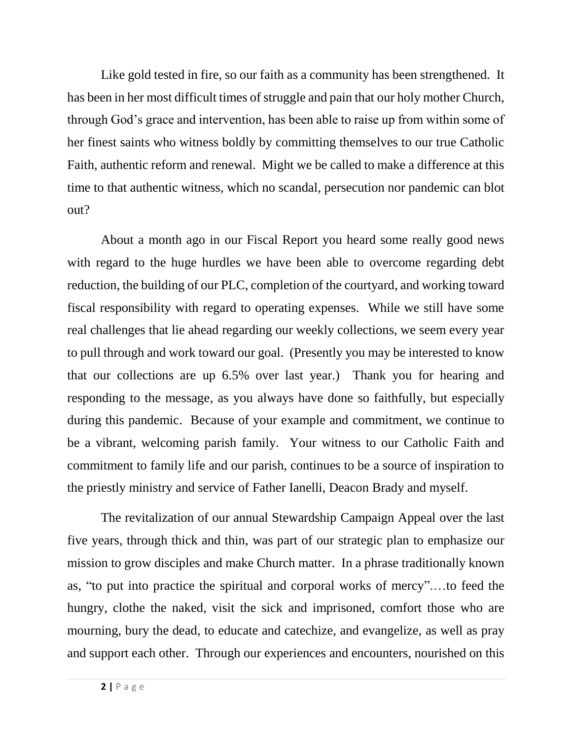Like gold tested in fire, so our faith as a community has been strengthened. It has been in her most difficult times of struggle and pain that our holy mother Church, through God's grace and intervention, has been able to raise up from within some of her finest saints who witness boldly by committing themselves to our true Catholic Faith, authentic reform and renewal. Might we be called to make a difference at this time to that authentic witness, which no scandal, persecution nor pandemic can blot out?

About a month ago in our Fiscal Report you heard some really good news with regard to the huge hurdles we have been able to overcome regarding debt reduction, the building of our PLC, completion of the courtyard, and working toward fiscal responsibility with regard to operating expenses. While we still have some real challenges that lie ahead regarding our weekly collections, we seem every year to pull through and work toward our goal. (Presently you may be interested to know that our collections are up 6.5% over last year.) Thank you for hearing and responding to the message, as you always have done so faithfully, but especially during this pandemic. Because of your example and commitment, we continue to be a vibrant, welcoming parish family. Your witness to our Catholic Faith and commitment to family life and our parish, continues to be a source of inspiration to the priestly ministry and service of Father Ianelli, Deacon Brady and myself.

The revitalization of our annual Stewardship Campaign Appeal over the last five years, through thick and thin, was part of our strategic plan to emphasize our mission to grow disciples and make Church matter. In a phrase traditionally known as, "to put into practice the spiritual and corporal works of mercy".…to feed the hungry, clothe the naked, visit the sick and imprisoned, comfort those who are mourning, bury the dead, to educate and catechize, and evangelize, as well as pray and support each other. Through our experiences and encounters, nourished on this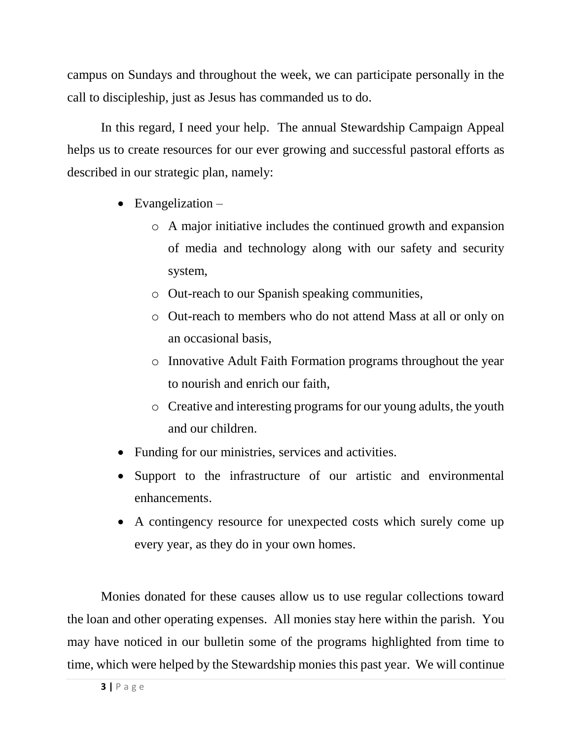campus on Sundays and throughout the week, we can participate personally in the call to discipleship, just as Jesus has commanded us to do.

In this regard, I need your help. The annual Stewardship Campaign Appeal helps us to create resources for our ever growing and successful pastoral efforts as described in our strategic plan, namely:

- $\bullet$  Evangelization
	- o A major initiative includes the continued growth and expansion of media and technology along with our safety and security system,
	- o Out-reach to our Spanish speaking communities,
	- o Out-reach to members who do not attend Mass at all or only on an occasional basis,
	- o Innovative Adult Faith Formation programs throughout the year to nourish and enrich our faith,
	- o Creative and interesting programs for our young adults, the youth and our children.
- Funding for our ministries, services and activities.
- Support to the infrastructure of our artistic and environmental enhancements.
- A contingency resource for unexpected costs which surely come up every year, as they do in your own homes.

Monies donated for these causes allow us to use regular collections toward the loan and other operating expenses. All monies stay here within the parish. You may have noticed in our bulletin some of the programs highlighted from time to time, which were helped by the Stewardship monies this past year. We will continue